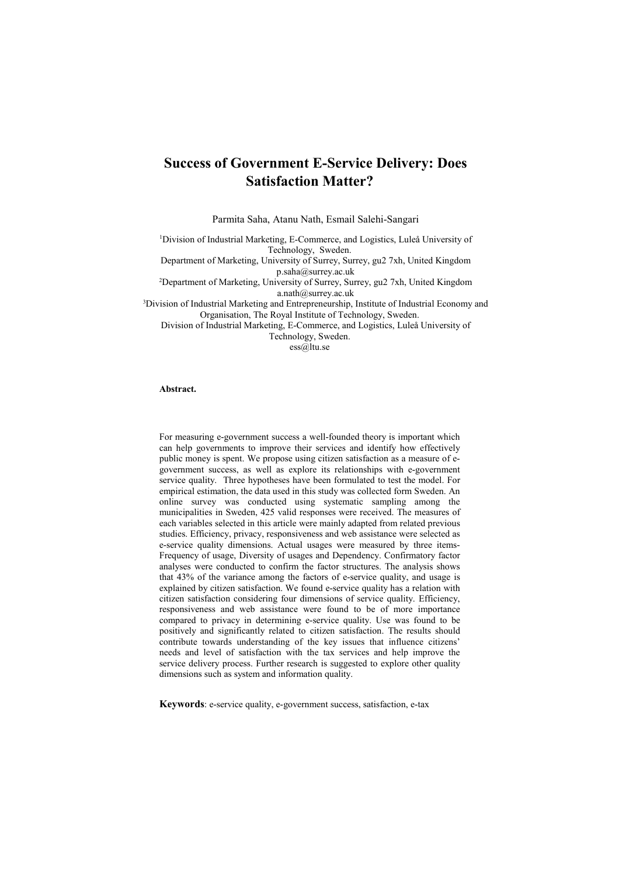Parmita Saha, Atanu Nath, Esmail Salehi-Sangari

<sup>1</sup>Division of Industrial Marketing, E-Commerce, and Logistics, Luleå University of Technology, Sweden. Department of Marketing, University of Surrey, Surrey, gu2 7xh, United Kingdom p.saha@surrey.ac.uk

<sup>2</sup>Department of Marketing, University of Surrey, Surrey, gu2 7xh, United Kingdom a.nath@surrey.ac.uk

<sup>3</sup>Division of Industrial Marketing and Entrepreneurship, Institute of Industrial Economy and Organisation, The Royal Institute of Technology, Sweden.

Division of Industrial Marketing, E-Commerce, and Logistics, Luleå University of Technology, Sweden.

ess@ltu.se

#### Abstract.

For measuring e-government success a well-founded theory is important which can help governments to improve their services and identify how effectively public money is spent. We propose using citizen satisfaction as a measure of egovernment success, as well as explore its relationships with e-government service quality. Three hypotheses have been formulated to test the model. For empirical estimation, the data used in this study was collected form Sweden. An online survey was conducted using systematic sampling among the municipalities in Sweden, 425 valid responses were received. The measures of each variables selected in this article were mainly adapted from related previous studies. Efficiency, privacy, responsiveness and web assistance were selected as e-service quality dimensions. Actual usages were measured by three items-Frequency of usage, Diversity of usages and Dependency. Confirmatory factor analyses were conducted to confirm the factor structures. The analysis shows that 43% of the variance among the factors of e-service quality, and usage is explained by citizen satisfaction. We found e-service quality has a relation with citizen satisfaction considering four dimensions of service quality. Efficiency, responsiveness and web assistance were found to be of more importance compared to privacy in determining e-service quality. Use was found to be positively and significantly related to citizen satisfaction. The results should contribute towards understanding of the key issues that influence citizens' needs and level of satisfaction with the tax services and help improve the service delivery process. Further research is suggested to explore other quality dimensions such as system and information quality.

Keywords: e-service quality, e-government success, satisfaction, e-tax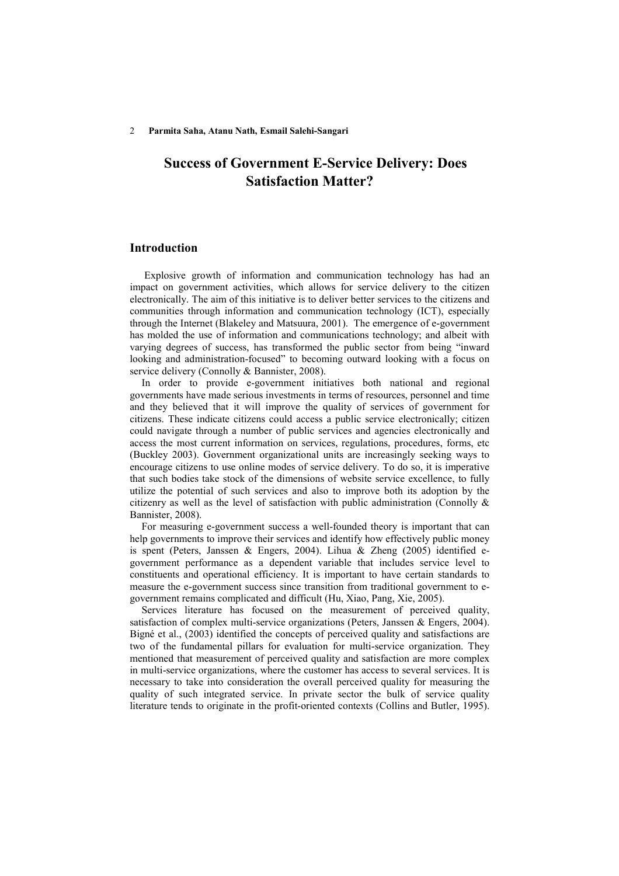## Introduction

 Explosive growth of information and communication technology has had an impact on government activities, which allows for service delivery to the citizen electronically. The aim of this initiative is to deliver better services to the citizens and communities through information and communication technology (ICT), especially through the Internet (Blakeley and Matsuura, 2001). The emergence of e-government has molded the use of information and communications technology; and albeit with varying degrees of success, has transformed the public sector from being "inward looking and administration-focused" to becoming outward looking with a focus on service delivery (Connolly & Bannister, 2008).

In order to provide e-government initiatives both national and regional governments have made serious investments in terms of resources, personnel and time and they believed that it will improve the quality of services of government for citizens. These indicate citizens could access a public service electronically; citizen could navigate through a number of public services and agencies electronically and access the most current information on services, regulations, procedures, forms, etc (Buckley 2003). Government organizational units are increasingly seeking ways to encourage citizens to use online modes of service delivery. To do so, it is imperative that such bodies take stock of the dimensions of website service excellence, to fully utilize the potential of such services and also to improve both its adoption by the citizenry as well as the level of satisfaction with public administration (Connolly  $\&$ Bannister, 2008).

For measuring e-government success a well-founded theory is important that can help governments to improve their services and identify how effectively public money is spent (Peters, Janssen & Engers, 2004). Lihua & Zheng (2005) identified egovernment performance as a dependent variable that includes service level to constituents and operational efficiency. It is important to have certain standards to measure the e-government success since transition from traditional government to egovernment remains complicated and difficult (Hu, Xiao, Pang, Xie, 2005).

Services literature has focused on the measurement of perceived quality, satisfaction of complex multi-service organizations (Peters, Janssen & Engers, 2004). Bigné et al., (2003) identified the concepts of perceived quality and satisfactions are two of the fundamental pillars for evaluation for multi-service organization. They mentioned that measurement of perceived quality and satisfaction are more complex in multi-service organizations, where the customer has access to several services. It is necessary to take into consideration the overall perceived quality for measuring the quality of such integrated service. In private sector the bulk of service quality literature tends to originate in the profit-oriented contexts (Collins and Butler, 1995).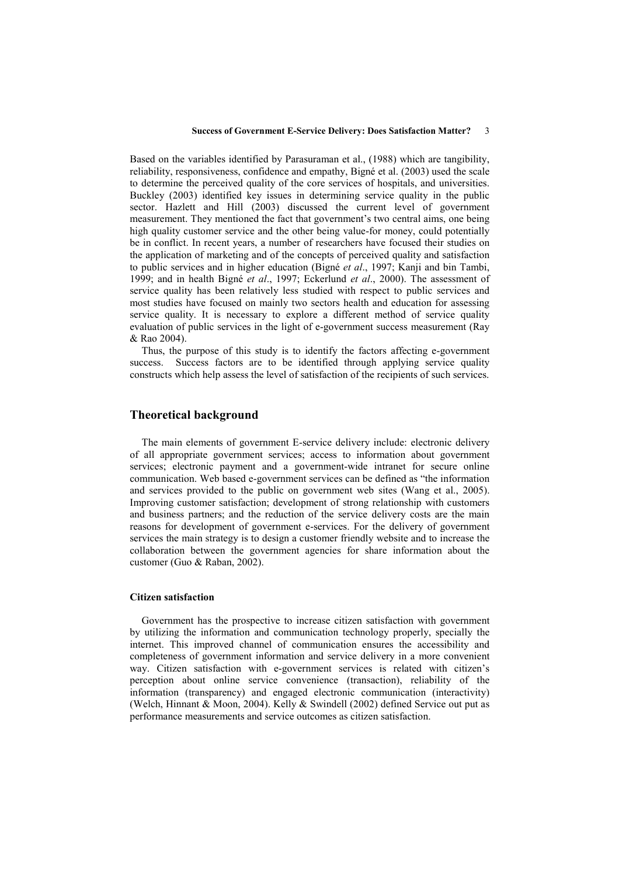Based on the variables identified by Parasuraman et al., (1988) which are tangibility, reliability, responsiveness, confidence and empathy, Bigné et al. (2003) used the scale to determine the perceived quality of the core services of hospitals, and universities. Buckley (2003) identified key issues in determining service quality in the public sector. Hazlett and Hill (2003) discussed the current level of government measurement. They mentioned the fact that government's two central aims, one being high quality customer service and the other being value-for money, could potentially be in conflict. In recent years, a number of researchers have focused their studies on the application of marketing and of the concepts of perceived quality and satisfaction to public services and in higher education (Bigné et al., 1997; Kanji and bin Tambi, 1999; and in health Bigné et al., 1997; Eckerlund et al., 2000). The assessment of service quality has been relatively less studied with respect to public services and most studies have focused on mainly two sectors health and education for assessing service quality. It is necessary to explore a different method of service quality evaluation of public services in the light of e-government success measurement (Ray & Rao 2004).

Thus, the purpose of this study is to identify the factors affecting e-government success. Success factors are to be identified through applying service quality constructs which help assess the level of satisfaction of the recipients of such services.

# Theoretical background

The main elements of government E-service delivery include: electronic delivery of all appropriate government services; access to information about government services; electronic payment and a government-wide intranet for secure online communication. Web based e-government services can be defined as "the information and services provided to the public on government web sites (Wang et al., 2005). Improving customer satisfaction; development of strong relationship with customers and business partners; and the reduction of the service delivery costs are the main reasons for development of government e-services. For the delivery of government services the main strategy is to design a customer friendly website and to increase the collaboration between the government agencies for share information about the customer (Guo & Raban, 2002).

## Citizen satisfaction

Government has the prospective to increase citizen satisfaction with government by utilizing the information and communication technology properly, specially the internet. This improved channel of communication ensures the accessibility and completeness of government information and service delivery in a more convenient way. Citizen satisfaction with e-government services is related with citizen's perception about online service convenience (transaction), reliability of the information (transparency) and engaged electronic communication (interactivity) (Welch, Hinnant & Moon, 2004). Kelly & Swindell (2002) defined Service out put as performance measurements and service outcomes as citizen satisfaction.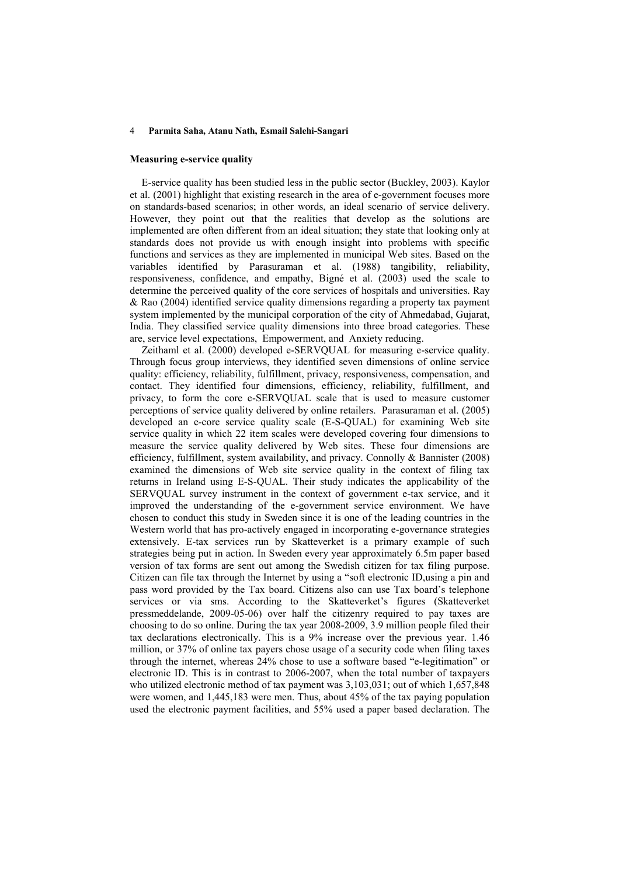#### Measuring e-service quality

E-service quality has been studied less in the public sector (Buckley, 2003). Kaylor et al. (2001) highlight that existing research in the area of e-government focuses more on standards-based scenarios; in other words, an ideal scenario of service delivery. However, they point out that the realities that develop as the solutions are implemented are often different from an ideal situation; they state that looking only at standards does not provide us with enough insight into problems with specific functions and services as they are implemented in municipal Web sites. Based on the variables identified by Parasuraman et al. (1988) tangibility, reliability, responsiveness, confidence, and empathy, Bigné et al. (2003) used the scale to determine the perceived quality of the core services of hospitals and universities. Ray & Rao (2004) identified service quality dimensions regarding a property tax payment system implemented by the municipal corporation of the city of Ahmedabad, Gujarat, India. They classified service quality dimensions into three broad categories. These are, service level expectations, Empowerment, and Anxiety reducing.

Zeithaml et al. (2000) developed e-SERVQUAL for measuring e-service quality. Through focus group interviews, they identified seven dimensions of online service quality: efficiency, reliability, fulfillment, privacy, responsiveness, compensation, and contact. They identified four dimensions, efficiency, reliability, fulfillment, and privacy, to form the core e-SERVQUAL scale that is used to measure customer perceptions of service quality delivered by online retailers. Parasuraman et al. (2005) developed an e-core service quality scale (E-S-QUAL) for examining Web site service quality in which 22 item scales were developed covering four dimensions to measure the service quality delivered by Web sites. These four dimensions are efficiency, fulfillment, system availability, and privacy. Connolly & Bannister (2008) examined the dimensions of Web site service quality in the context of filing tax returns in Ireland using E-S-QUAL. Their study indicates the applicability of the SERVQUAL survey instrument in the context of government e-tax service, and it improved the understanding of the e-government service environment. We have chosen to conduct this study in Sweden since it is one of the leading countries in the Western world that has pro-actively engaged in incorporating e-governance strategies extensively. E-tax services run by Skatteverket is a primary example of such strategies being put in action. In Sweden every year approximately 6.5m paper based version of tax forms are sent out among the Swedish citizen for tax filing purpose. Citizen can file tax through the Internet by using a "soft electronic ID,using a pin and pass word provided by the Tax board. Citizens also can use Tax board's telephone services or via sms. According to the Skatteverket's figures (Skatteverket pressmeddelande, 2009-05-06) over half the citizenry required to pay taxes are choosing to do so online. During the tax year 2008-2009, 3.9 million people filed their tax declarations electronically. This is a 9% increase over the previous year. 1.46 million, or 37% of online tax payers chose usage of a security code when filing taxes through the internet, whereas 24% chose to use a software based "e-legitimation" or electronic ID. This is in contrast to 2006-2007, when the total number of taxpayers who utilized electronic method of tax payment was 3,103,031; out of which 1,657,848 were women, and 1,445,183 were men. Thus, about 45% of the tax paying population used the electronic payment facilities, and 55% used a paper based declaration. The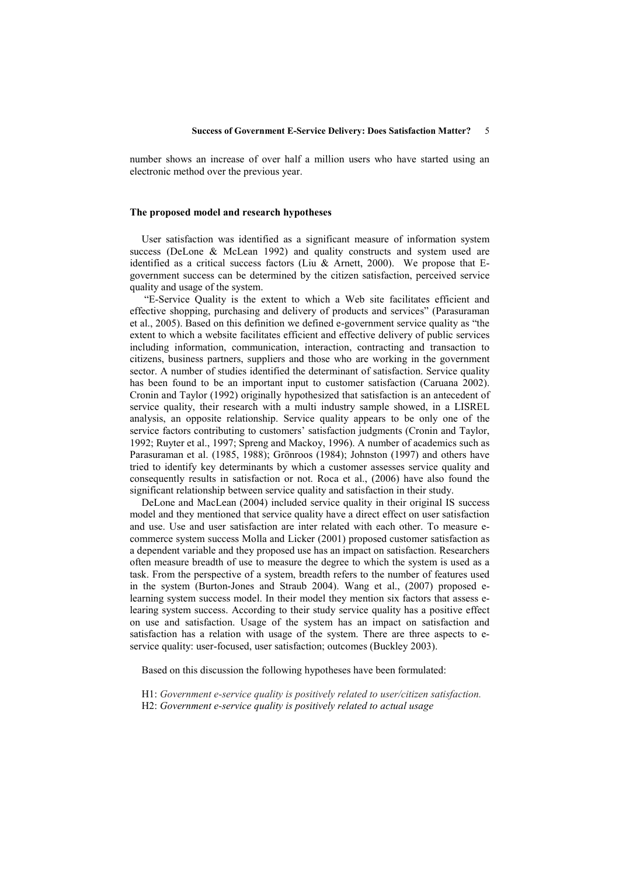number shows an increase of over half a million users who have started using an electronic method over the previous year.

## The proposed model and research hypotheses

User satisfaction was identified as a significant measure of information system success (DeLone & McLean 1992) and quality constructs and system used are identified as a critical success factors (Liu & Arnett, 2000). We propose that Egovernment success can be determined by the citizen satisfaction, perceived service quality and usage of the system.

 "E-Service Quality is the extent to which a Web site facilitates efficient and effective shopping, purchasing and delivery of products and services" (Parasuraman et al., 2005). Based on this definition we defined e-government service quality as "the extent to which a website facilitates efficient and effective delivery of public services including information, communication, interaction, contracting and transaction to citizens, business partners, suppliers and those who are working in the government sector. A number of studies identified the determinant of satisfaction. Service quality has been found to be an important input to customer satisfaction (Caruana 2002). Cronin and Taylor (1992) originally hypothesized that satisfaction is an antecedent of service quality, their research with a multi industry sample showed, in a LISREL analysis, an opposite relationship. Service quality appears to be only one of the service factors contributing to customers' satisfaction judgments (Cronin and Taylor, 1992; Ruyter et al., 1997; Spreng and Mackoy, 1996). A number of academics such as Parasuraman et al. (1985, 1988); Grönroos (1984); Johnston (1997) and others have tried to identify key determinants by which a customer assesses service quality and consequently results in satisfaction or not. Roca et al., (2006) have also found the significant relationship between service quality and satisfaction in their study.

DeLone and MacLean (2004) included service quality in their original IS success model and they mentioned that service quality have a direct effect on user satisfaction and use. Use and user satisfaction are inter related with each other. To measure ecommerce system success Molla and Licker (2001) proposed customer satisfaction as a dependent variable and they proposed use has an impact on satisfaction. Researchers often measure breadth of use to measure the degree to which the system is used as a task. From the perspective of a system, breadth refers to the number of features used in the system (Burton-Jones and Straub 2004). Wang et al., (2007) proposed elearning system success model. In their model they mention six factors that assess elearing system success. According to their study service quality has a positive effect on use and satisfaction. Usage of the system has an impact on satisfaction and satisfaction has a relation with usage of the system. There are three aspects to eservice quality: user-focused, user satisfaction; outcomes (Buckley 2003).

Based on this discussion the following hypotheses have been formulated:

H1: Government e-service quality is positively related to user/citizen satisfaction.

H2: Government e-service quality is positively related to actual usage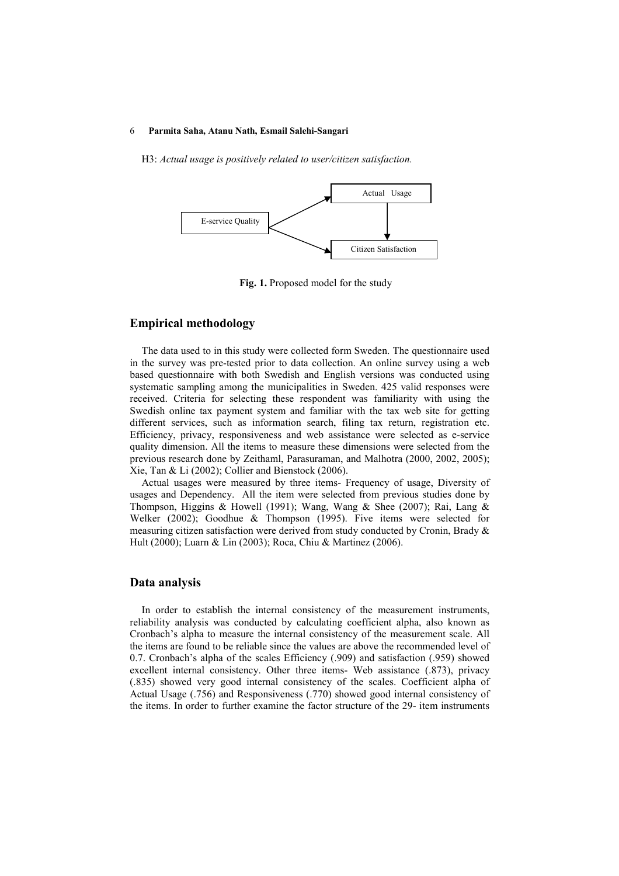H3: Actual usage is positively related to user/citizen satisfaction.



Fig. 1. Proposed model for the study

# Empirical methodology

The data used to in this study were collected form Sweden. The questionnaire used in the survey was pre-tested prior to data collection. An online survey using a web based questionnaire with both Swedish and English versions was conducted using systematic sampling among the municipalities in Sweden. 425 valid responses were received. Criteria for selecting these respondent was familiarity with using the Swedish online tax payment system and familiar with the tax web site for getting different services, such as information search, filing tax return, registration etc. Efficiency, privacy, responsiveness and web assistance were selected as e-service quality dimension. All the items to measure these dimensions were selected from the previous research done by Zeithaml, Parasuraman, and Malhotra (2000, 2002, 2005); Xie, Tan & Li (2002); Collier and Bienstock (2006).

Actual usages were measured by three items- Frequency of usage, Diversity of usages and Dependency. All the item were selected from previous studies done by Thompson, Higgins & Howell (1991); Wang, Wang & Shee (2007); Rai, Lang & Welker (2002); Goodhue & Thompson (1995). Five items were selected for measuring citizen satisfaction were derived from study conducted by Cronin, Brady & Hult (2000); Luarn & Lin (2003); Roca, Chiu & Martinez (2006).

## Data analysis

In order to establish the internal consistency of the measurement instruments, reliability analysis was conducted by calculating coefficient alpha, also known as Cronbach's alpha to measure the internal consistency of the measurement scale. All the items are found to be reliable since the values are above the recommended level of 0.7. Cronbach's alpha of the scales Efficiency (.909) and satisfaction (.959) showed excellent internal consistency. Other three items- Web assistance (.873), privacy (.835) showed very good internal consistency of the scales. Coefficient alpha of Actual Usage (.756) and Responsiveness (.770) showed good internal consistency of the items. In order to further examine the factor structure of the 29- item instruments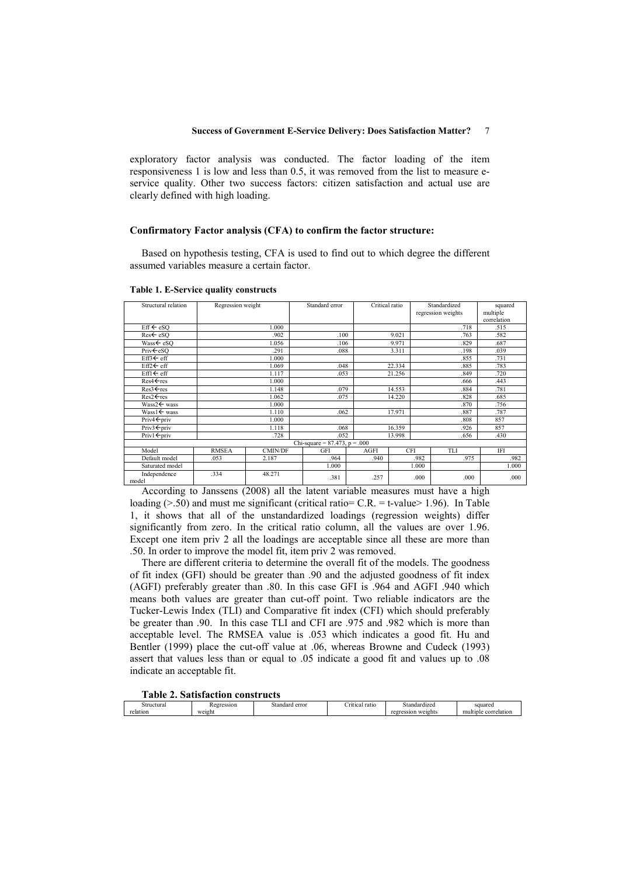exploratory factor analysis was conducted. The factor loading of the item responsiveness 1 is low and less than 0.5, it was removed from the list to measure eservice quality. Other two success factors: citizen satisfaction and actual use are clearly defined with high loading.

#### Confirmatory Factor analysis (CFA) to confirm the factor structure:

Based on hypothesis testing, CFA is used to find out to which degree the different assumed variables measure a certain factor.

| Structural relation                | Regression weight |         |                | Standard error |        | Critical ratio |        | Standardized       |            | squared     |  |
|------------------------------------|-------------------|---------|----------------|----------------|--------|----------------|--------|--------------------|------------|-------------|--|
|                                    |                   |         |                |                |        |                |        | regression weights |            | multiple    |  |
|                                    |                   |         |                |                |        |                |        |                    |            | correlation |  |
| $Eff \leftarrow eSQ$               |                   | 1.000   |                |                |        |                |        |                    | .718       | .515        |  |
| $Res \leftarrow eSQ$               |                   | .902    |                | 100            |        | 9.021          |        |                    | .763       | .582        |  |
| Wass← eSO                          |                   | 1.056   |                | .106           |        |                | 9.971  |                    | .829       | .687        |  |
| Priv←eSO                           |                   | .291    |                | .088           |        | 3.311          |        |                    | .198       | .039        |  |
| Eff3 $\leftarrow$ eff              |                   | 1.000   |                |                |        |                |        | .855               |            | .731        |  |
| Eff2 $\leftarrow$ eff              |                   | 1.069   |                |                | .048   |                | 22.334 | .885               |            | .783        |  |
| $Eff1 \leftarrow eff$              |                   | 1.117   |                |                | .053   |                | 21.256 |                    | .849       | .720        |  |
| Res4 ← res                         |                   | 1.000   |                |                |        |                |        |                    | .666       | .443        |  |
| Res3 ← res                         |                   |         | .079<br>14.553 |                |        | .884           | .781   |                    |            |             |  |
| Res2 ← res                         |                   |         | .075           |                | 14.220 |                |        | .828               | .685       |             |  |
| Wass2 $\leftarrow$ wass            |                   | 1.000   |                |                |        |                |        |                    | .870       | .756        |  |
| Wass1 $\leftarrow$ wass            |                   | 1.110   |                | .062           |        |                | 17.971 |                    | .887       | .787        |  |
| Priv4 ← priv                       |                   | 1.000   |                |                |        |                |        |                    | .808       | 857         |  |
| Priv3 ← priv                       |                   | 1.118   |                | .068           |        | 16.359         |        |                    | .926       | 857         |  |
| $Priv1 \leftarrow priv$            |                   | .728    |                | .052           |        | 13.998         |        | .656               |            | .430        |  |
| Chi-square = $87.473$ , $p = .000$ |                   |         |                |                |        |                |        |                    |            |             |  |
| Model                              | <b>RMSEA</b>      | CMIN/DF |                | GFI            |        | <b>AGFI</b>    |        | <b>CFI</b>         | <b>TLI</b> | <b>IFI</b>  |  |
| Default model                      | .053              | 2.187   |                | .964           |        | .940           |        | .982               | .975       | .982        |  |
| Saturated model                    |                   |         |                | 1.000          |        |                |        | 1.000              |            | 1.000       |  |
| Independence<br>model              | .334              | 48.271  |                | .381           |        | .257           | .000   |                    | .000       | .000        |  |

#### Table 1. E-Service quality constructs

According to Janssens (2008) all the latent variable measures must have a high loading ( $> 50$ ) and must me significant (critical ratio= C.R. = t-value $> 1.96$ ). In Table 1, it shows that all of the unstandardized loadings (regression weights) differ significantly from zero. In the critical ratio column, all the values are over 1.96. Except one item priv 2 all the loadings are acceptable since all these are more than .50. In order to improve the model fit, item priv 2 was removed.

There are different criteria to determine the overall fit of the models. The goodness of fit index (GFI) should be greater than .90 and the adjusted goodness of fit index (AGFI) preferably greater than .80. In this case GFI is .964 and AGFI .940 which means both values are greater than cut-off point. Two reliable indicators are the Tucker-Lewis Index (TLI) and Comparative fit index (CFI) which should preferably be greater than .90. In this case TLI and CFI are .975 and .982 which is more than acceptable level. The RMSEA value is .053 which indicates a good fit. Hu and Bentler (1999) place the cut-off value at .06, whereas Browne and Cudeck (1993) assert that values less than or equal to .05 indicate a good fit and values up to .08 indicate an acceptable fit.

#### Table 2. Satisfaction constructs

| a colla a<br>uctural | sior   | $\ddot{\phantom{1}}$<br>.<br>enoi<br>лын | ratio<br>r 11 102 | Standardızed | squared                                               |
|----------------------|--------|------------------------------------------|-------------------|--------------|-------------------------------------------------------|
| relation             | veight |                                          |                   | weights<br>. | mult<br>$\sim$ $\sim$ $\sim$<br>elation<br>. inle<br> |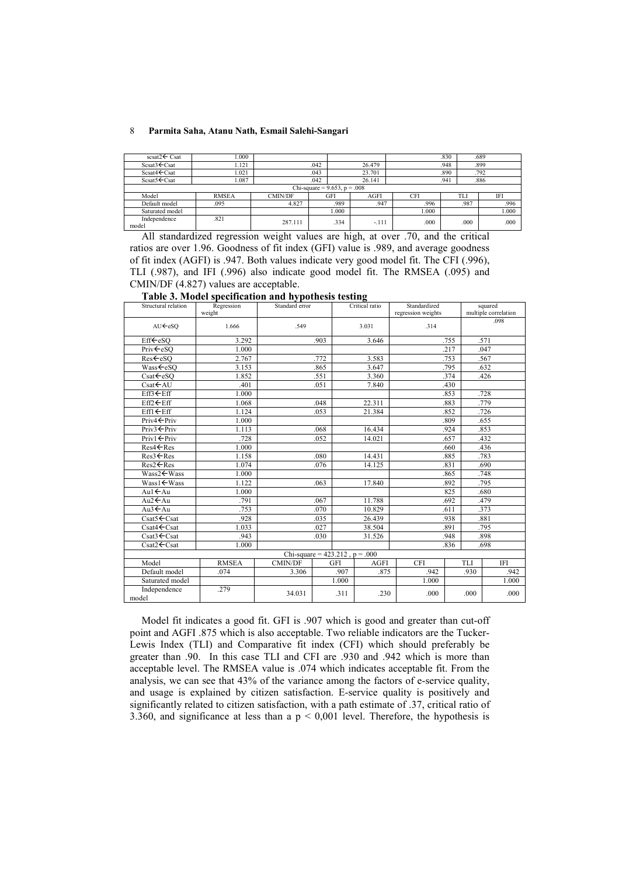| $scsat2 \leftarrow$ Csat          | 000.1        |         |      |             |            | .830 | .689       |  |  |
|-----------------------------------|--------------|---------|------|-------------|------------|------|------------|--|--|
| Scsat3Csat                        | 1.121        |         | .042 | 26.479      |            | .948 | .899       |  |  |
| Scsat4 ← Csat                     | 1.021        |         | .043 | 23.701      |            | .890 | .792       |  |  |
| Scsat5 ← Csat                     | 1.087        |         | .042 | 26.141      |            | .941 | .886       |  |  |
| Chi-square = $9.653$ , $p = .008$ |              |         |      |             |            |      |            |  |  |
| Model                             | <b>RMSEA</b> | CMIN/DF | GFI  | <b>AGFI</b> | <b>CFI</b> | TLI  | <b>IFI</b> |  |  |
| Default model                     | .095         | 4.827   | .989 | .947        | .996       | .987 | .996       |  |  |
| Saturated model                   |              |         | .000 |             | 1.000      |      | 1.000      |  |  |
| Independence                      | .821         |         |      |             |            |      |            |  |  |

All standardized regression weight values are high, at over .70, and the critical ratios are over 1.96. Goodness of fit index (GFI) value is .989, and average goodness of fit index (AGFI) is .947. Both values indicate very good model fit. The CFI (.996), TLI (.987), and IFI (.996) also indicate good model fit. The RMSEA (.095) and CMIN/DF (4.827) values are acceptable.

| $\frac{1}{2}$ . The case of the context of the case of $\frac{1}{2}$<br>Regression<br>Structural relation |              | Standard error |       | Critical ratio | Standardized       |      | squared              |            |  |  |
|-----------------------------------------------------------------------------------------------------------|--------------|----------------|-------|----------------|--------------------|------|----------------------|------------|--|--|
|                                                                                                           | weight       |                |       |                | regression weights |      | multiple correlation |            |  |  |
| AU←eSO                                                                                                    | 1.666        | .549           |       | 3.031          | .314               |      |                      | 098        |  |  |
| Eff←eSO                                                                                                   | 3.292        |                | .903  | 3.646          | .755               |      | .571                 |            |  |  |
| Priv←eSO                                                                                                  | 1.000        |                |       |                | .217               |      | .047                 |            |  |  |
| Res←eSO                                                                                                   | 2.767        |                | .772  | 3.583          |                    | .753 | .567                 |            |  |  |
| Wass←eSQ                                                                                                  | 3.153        |                | .865  | 3.647          |                    | .795 | .632                 |            |  |  |
| $\text{Cast} \leftarrow \text{eSQ}$                                                                       | 1.852        |                | .551  | 3.360          |                    | .374 | .426                 |            |  |  |
| Csat←AU                                                                                                   | .401         |                | .051  | 7.840          |                    | .430 |                      |            |  |  |
| Eff3←Eff                                                                                                  | 1.000        |                |       |                |                    | .853 | .728                 |            |  |  |
| Eff2←Eff                                                                                                  | 1.068        |                | .048  | 22.311         |                    | .883 | .779                 |            |  |  |
| Eff1 ← Eff                                                                                                | 1.124        |                | .053  | 21.384         |                    | .852 | .726                 |            |  |  |
| Priv4 ← Priv                                                                                              | 1.000        |                |       |                |                    | .809 | .655                 |            |  |  |
| Priv3 ← Priv                                                                                              | 1.113        |                | .068  | 16.434         |                    | .924 |                      |            |  |  |
| $Priv1 \leftarrow Priv$                                                                                   | .728         |                | .052  | 14.021         |                    | .657 | .432                 |            |  |  |
| $Res4 \leftarrow Res$                                                                                     | 1.000        |                |       |                |                    | .660 | .436                 |            |  |  |
| Res3 ← Res                                                                                                | 1.158        |                | .080  | 14.431         |                    | .885 | .783                 |            |  |  |
| Res2 ← Res                                                                                                | 1.074        |                | .076  | 14.125         |                    | .831 | .690                 |            |  |  |
| Wass2 ← Wass                                                                                              | 1.000        |                |       |                |                    | .865 | .748                 |            |  |  |
| Wass1 $\leftarrow$ Wass                                                                                   | 1.122        |                | .063  | 17.840         |                    | .892 | .795                 |            |  |  |
| Au1 ← Au                                                                                                  | 1.000        |                |       |                |                    | 825  | .680                 |            |  |  |
| Au2 ← Au                                                                                                  | .791         |                | .067  | 11.788         |                    | .692 | .479                 |            |  |  |
| Au3 ← Au                                                                                                  | .753         |                | .070  | 10.829         |                    | .611 | .373                 |            |  |  |
| $Csat5 \leftarrow Csat$                                                                                   | .928         |                | .035  | 26.439         |                    | .938 | .881                 |            |  |  |
| Csat4Csat                                                                                                 | 1.033        |                | .027  | 38.504         |                    | .891 | .795                 |            |  |  |
| $Csat3 \leftarrow Csat$                                                                                   | .943         |                | .030  | 31.526         | .948               |      | .898                 |            |  |  |
| $Csat2 \leftarrow Csat$                                                                                   | 1.000        |                |       |                |                    | .836 | .698                 |            |  |  |
| Chi-square = $423.212$ , p = .000                                                                         |              |                |       |                |                    |      |                      |            |  |  |
| Model                                                                                                     | <b>RMSEA</b> | CMIN/DF        | GFI   | <b>AGFI</b>    | <b>CFI</b>         |      | <b>TLI</b>           | <b>IFI</b> |  |  |
| Default model                                                                                             | .074         | 3.306          | .907  | .875           | .942               |      | .930                 | .942       |  |  |
| Saturated model                                                                                           |              |                | 1.000 |                | 1.000              |      |                      | 1.000      |  |  |
| Independence<br>model                                                                                     | .279         | 34.031         | .311  | .230           | .000               |      | .000                 | .000       |  |  |

Table 3. Model specification and hypothesis testing

Model fit indicates a good fit. GFI is .907 which is good and greater than cut-off point and AGFI .875 which is also acceptable. Two reliable indicators are the Tucker-Lewis Index (TLI) and Comparative fit index (CFI) which should preferably be greater than .90. In this case TLI and CFI are .930 and .942 which is more than acceptable level. The RMSEA value is .074 which indicates acceptable fit. From the analysis, we can see that 43% of the variance among the factors of e-service quality, and usage is explained by citizen satisfaction. E-service quality is positively and significantly related to citizen satisfaction, with a path estimate of .37, critical ratio of 3.360, and significance at less than a  $p < 0,001$  level. Therefore, the hypothesis is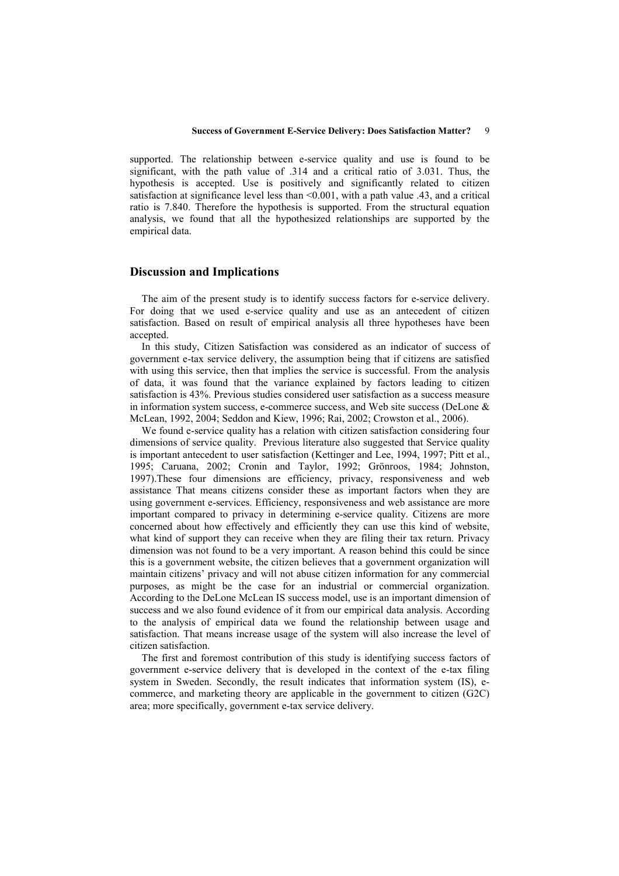supported. The relationship between e-service quality and use is found to be significant, with the path value of .314 and a critical ratio of 3.031. Thus, the hypothesis is accepted. Use is positively and significantly related to citizen satisfaction at significance level less than <0.001, with a path value .43, and a critical ratio is 7.840. Therefore the hypothesis is supported. From the structural equation analysis, we found that all the hypothesized relationships are supported by the empirical data.

# Discussion and Implications

The aim of the present study is to identify success factors for e-service delivery. For doing that we used e-service quality and use as an antecedent of citizen satisfaction. Based on result of empirical analysis all three hypotheses have been accepted.

In this study, Citizen Satisfaction was considered as an indicator of success of government e-tax service delivery, the assumption being that if citizens are satisfied with using this service, then that implies the service is successful. From the analysis of data, it was found that the variance explained by factors leading to citizen satisfaction is 43%. Previous studies considered user satisfaction as a success measure in information system success, e-commerce success, and Web site success (DeLone  $\&$ McLean, 1992, 2004; Seddon and Kiew, 1996; Rai, 2002; Crowston et al., 2006).

We found e-service quality has a relation with citizen satisfaction considering four dimensions of service quality. Previous literature also suggested that Service quality is important antecedent to user satisfaction (Kettinger and Lee, 1994, 1997; Pitt et al., 1995; Caruana, 2002; Cronin and Taylor, 1992; Grönroos, 1984; Johnston, 1997).These four dimensions are efficiency, privacy, responsiveness and web assistance That means citizens consider these as important factors when they are using government e-services. Efficiency, responsiveness and web assistance are more important compared to privacy in determining e-service quality. Citizens are more concerned about how effectively and efficiently they can use this kind of website, what kind of support they can receive when they are filing their tax return. Privacy dimension was not found to be a very important. A reason behind this could be since this is a government website, the citizen believes that a government organization will maintain citizens' privacy and will not abuse citizen information for any commercial purposes, as might be the case for an industrial or commercial organization. According to the DeLone McLean IS success model, use is an important dimension of success and we also found evidence of it from our empirical data analysis. According to the analysis of empirical data we found the relationship between usage and satisfaction. That means increase usage of the system will also increase the level of citizen satisfaction.

The first and foremost contribution of this study is identifying success factors of government e-service delivery that is developed in the context of the e-tax filing system in Sweden. Secondly, the result indicates that information system (IS), ecommerce, and marketing theory are applicable in the government to citizen (G2C) area; more specifically, government e-tax service delivery.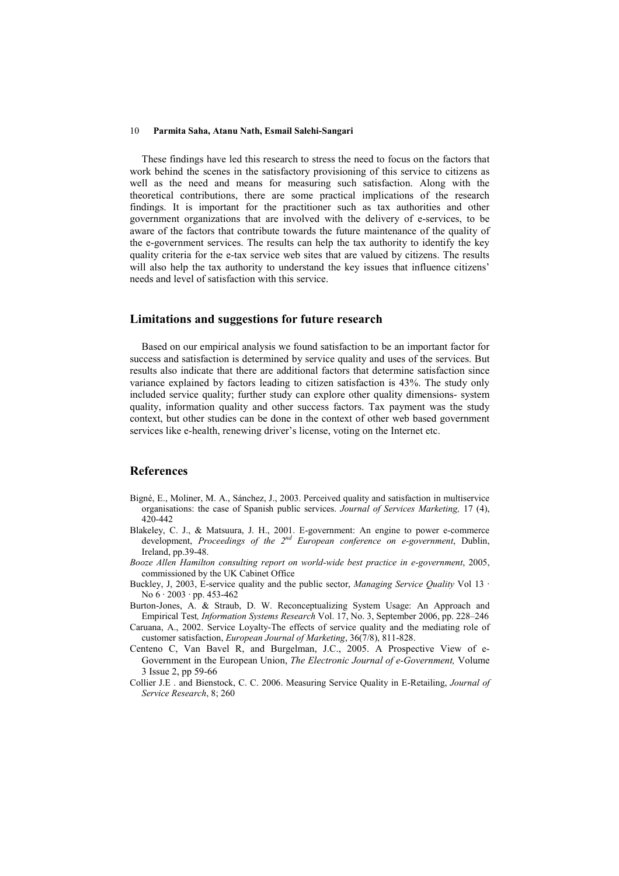These findings have led this research to stress the need to focus on the factors that work behind the scenes in the satisfactory provisioning of this service to citizens as well as the need and means for measuring such satisfaction. Along with the theoretical contributions, there are some practical implications of the research findings. It is important for the practitioner such as tax authorities and other government organizations that are involved with the delivery of e-services, to be aware of the factors that contribute towards the future maintenance of the quality of the e-government services. The results can help the tax authority to identify the key quality criteria for the e-tax service web sites that are valued by citizens. The results will also help the tax authority to understand the key issues that influence citizens' needs and level of satisfaction with this service.

## Limitations and suggestions for future research

Based on our empirical analysis we found satisfaction to be an important factor for success and satisfaction is determined by service quality and uses of the services. But results also indicate that there are additional factors that determine satisfaction since variance explained by factors leading to citizen satisfaction is 43%. The study only included service quality; further study can explore other quality dimensions- system quality, information quality and other success factors. Tax payment was the study context, but other studies can be done in the context of other web based government services like e-health, renewing driver's license, voting on the Internet etc.

# References

- Bigné, E., Moliner, M. A., Sánchez, J., 2003. Perceived quality and satisfaction in multiservice organisations: the case of Spanish public services. Journal of Services Marketing, 17 (4), 420-442
- Blakeley, C. J., & Matsuura, J. H., 2001. E-government: An engine to power e-commerce development, Proceedings of the  $2^{nd}$  European conference on e-government, Dublin, Ireland, pp.39-48.
- Booze Allen Hamilton consulting report on world-wide best practice in e-government, 2005, commissioned by the UK Cabinet Office
- Buckley, J, 2003, E-service quality and the public sector, *Managing Service Quality* Vol 13  $\cdot$ No 6 · 2003 · pp. 453-462
- Burton-Jones, A. & Straub, D. W. Reconceptualizing System Usage: An Approach and Empirical Test, Information Systems Research Vol. 17, No. 3, September 2006, pp. 228–246
- Caruana, A., 2002. Service Loyalty-The effects of service quality and the mediating role of customer satisfaction, European Journal of Marketing, 36(7/8), 811-828.
- Centeno C, Van Bavel R, and Burgelman, J.C., 2005. A Prospective View of e-Government in the European Union, *The Electronic Journal of e-Government*, Volume 3 Issue 2, pp 59-66
- Collier J.E . and Bienstock, C. C. 2006. Measuring Service Quality in E-Retailing, Journal of Service Research, 8; 260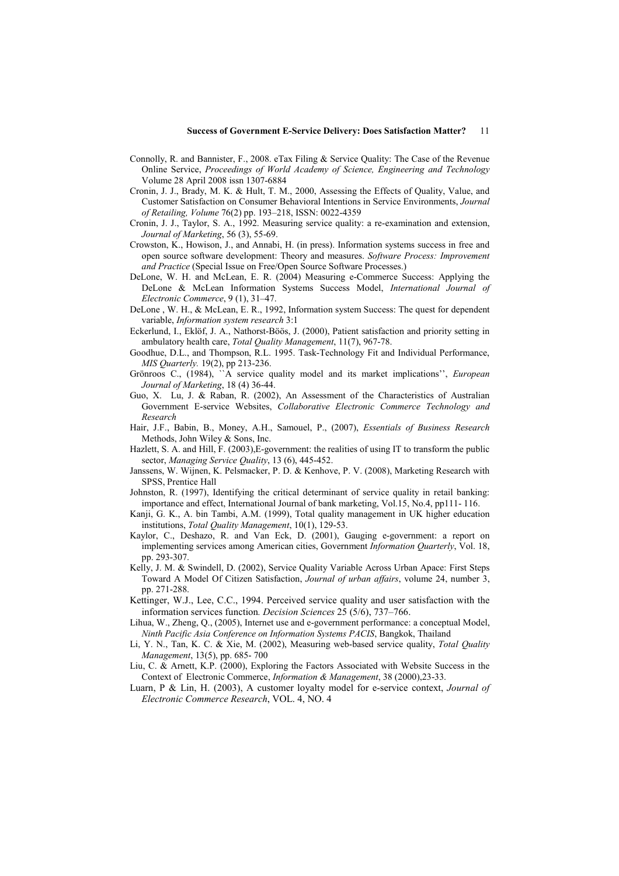- Connolly, R. and Bannister, F., 2008. eTax Filing & Service Quality: The Case of the Revenue Online Service, Proceedings of World Academy of Science, Engineering and Technology Volume 28 April 2008 issn 1307-6884
- Cronin, J. J., Brady, M. K. & Hult, T. M., 2000, Assessing the Effects of Quality, Value, and Customer Satisfaction on Consumer Behavioral Intentions in Service Environments, Journal of Retailing, Volume 76(2) pp. 193–218, ISSN: 0022-4359
- Cronin, J. J., Taylor, S. A., 1992. Measuring service quality: a re-examination and extension, Journal of Marketing, 56 (3), 55-69.
- Crowston, K., Howison, J., and Annabi, H. (in press). Information systems success in free and open source software development: Theory and measures. Software Process: Improvement and Practice (Special Issue on Free/Open Source Software Processes.)
- DeLone, W. H. and McLean, E. R. (2004) Measuring e-Commerce Success: Applying the DeLone & McLean Information Systems Success Model, International Journal of Electronic Commerce, 9 (1), 31–47.
- DeLone , W. H., & McLean, E. R., 1992, Information system Success: The quest for dependent variable, Information system research 3:1
- Eckerlund, I., Eklöf, J. A., Nathorst-Böös, J. (2000), Patient satisfaction and priority setting in ambulatory health care, Total Quality Management, 11(7), 967-78.
- Goodhue, D.L., and Thompson, R.L. 1995. Task-Technology Fit and Individual Performance, MIS Quarterly. 19(2), pp 213-236.
- Grönroos C., (1984), "A service quality model and its market implications", European Journal of Marketing, 18 (4) 36-44.
- Guo, X. Lu, J. & Raban, R. (2002), An Assessment of the Characteristics of Australian Government E-service Websites, Collaborative Electronic Commerce Technology and Research
- Hair, J.F., Babin, B., Money, A.H., Samouel, P., (2007), Essentials of Business Research Methods, John Wiley & Sons, Inc.
- Hazlett, S. A. and Hill, F. (2003),E-government: the realities of using IT to transform the public sector, Managing Service Quality, 13 (6), 445-452.
- Janssens, W. Wijnen, K. Pelsmacker, P. D. & Kenhove, P. V. (2008), Marketing Research with SPSS, Prentice Hall
- Johnston, R. (1997), Identifying the critical determinant of service quality in retail banking: importance and effect, International Journal of bank marketing, Vol.15, No.4, pp111- 116.
- Kanji, G. K., A. bin Tambi, A.M. (1999), Total quality management in UK higher education institutions, Total Quality Management, 10(1), 129-53.
- Kaylor, C., Deshazo, R. and Van Eck, D. (2001), Gauging e-government: a report on implementing services among American cities, Government Information Quarterly, Vol. 18, pp. 293-307.
- Kelly, J. M. & Swindell, D. (2002), Service Quality Variable Across Urban Apace: First Steps Toward A Model Of Citizen Satisfaction, Journal of urban affairs, volume 24, number 3, pp. 271-288.
- Kettinger, W.J., Lee, C.C., 1994. Perceived service quality and user satisfaction with the information services function. Decision Sciences 25 (5/6), 737–766.
- Lihua, W., Zheng, Q., (2005), Internet use and e-government performance: a conceptual Model, Ninth Pacific Asia Conference on Information Systems PACIS, Bangkok, Thailand
- Li, Y. N., Tan, K. C. & Xie, M. (2002), Measuring web-based service quality, Total Quality Management, 13(5), pp. 685- 700
- Liu, C. & Arnett, K.P. (2000), Exploring the Factors Associated with Website Success in the Context of Electronic Commerce, Information & Management, 38 (2000),23-33.
- Luarn, P & Lin, H. (2003), A customer loyalty model for e-service context, Journal of Electronic Commerce Research, VOL. 4, NO. 4